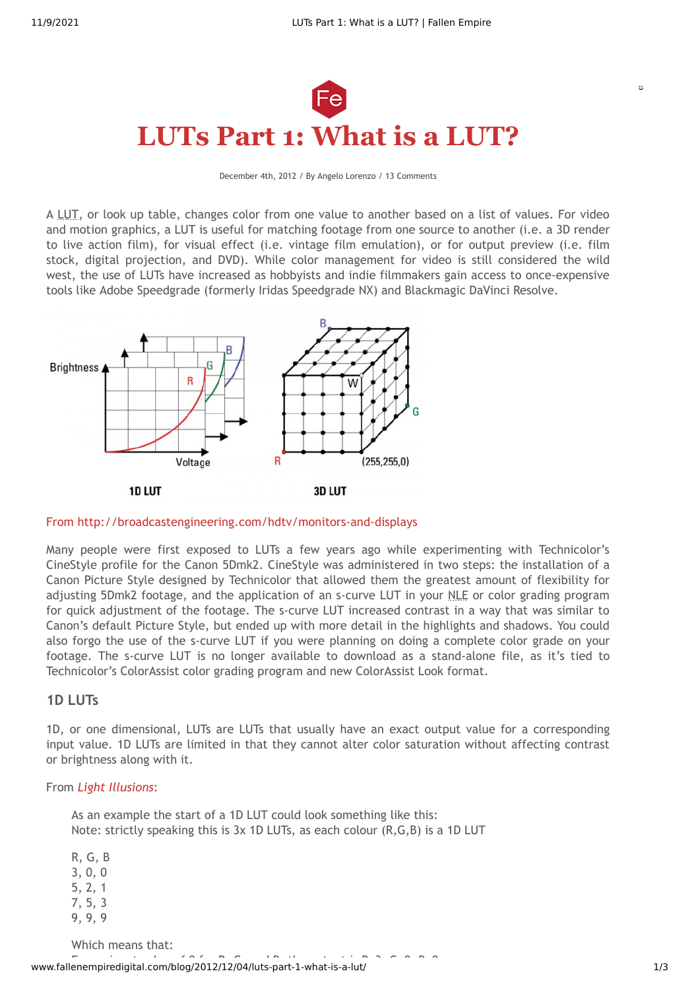

December 4th, 2012 / By Angelo Lorenzo / 13 Comments

A LUT, or look up table, changes color from one value to another based on a list of values. For video and motion graphics, a LUT is useful for matching footage from one source to another (i.e. a 3D render to live action film), for visual effect (i.e. vintage film emulation), or for output preview (i.e. film stock, digital projection, and DVD). While color management for video is still considered the wild west, the use of LUTs have increased as hobbyists and indie filmmakers gain access to once-expensive tools like Adobe Speedgrade (formerly Iridas Speedgrade NX) and Blackmagic DaVinci Resolve.



From <http://broadcastengineering.com/hdtv/monitors-and-displays>

Many people were first exposed to LUTs a few years ago while experimenting with Technicolor's CineStyle profile for the Canon 5Dmk2. CineStyle was administered in two steps: the installation of a Canon Picture Style designed by Technicolor that allowed them the greatest amount of flexibility for adjusting 5Dmk2 footage, and the application of an s-curve LUT in your NLE or color grading program for quick adjustment of the footage. The s-curve LUT increased contrast in a way that was similar to Canon's default Picture Style, but ended up with more detail in the highlights and shadows. You could also forgo the use of the s-curve LUT if you were planning on doing a complete color grade on your footage. The s-curve LUT is no longer available to download as a stand-alone file, as it's tied to Technicolor's ColorAssist color grading program and new ColorAssist Look format.

### **1D LUTs**

1D, or one dimensional, LUTs are LUTs that usually have an exact output value for a corresponding input value. 1D LUTs are limited in that they cannot alter color saturation without affecting contrast or brightness along with it.

#### From *Light [Illusions](http://www.lightillusion.com/luts.html)*:

As an example the start of a 1D LUT could look something like this: Note: strictly speaking this is 3x 1D LUTs, as each colour (R,G,B) is a 1D LUT

R, G, B 3, 0, 0 5, 2, 1 7, 5, 3 9, 9, 9

Which means that:

www.fallenempiredigital.com/blog/2012/12/04/luts-part-1-what-is-a-lut/ 1/3

 $\omega$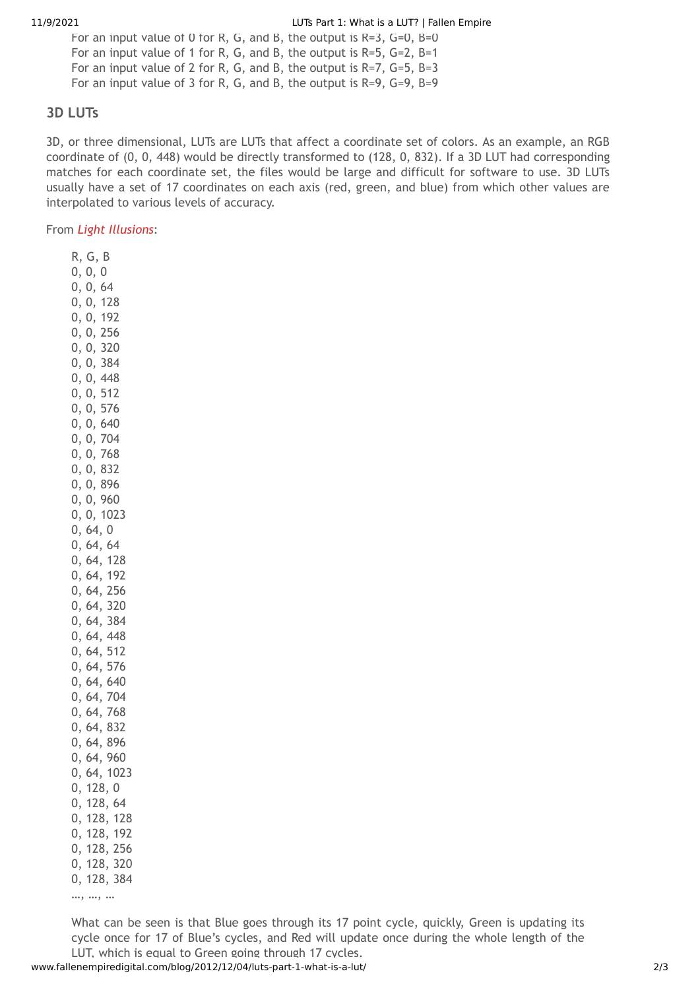For an input value of 0 for R, G, and B, the output is  $R=3$ ,  $G=0$ ,  $B=0$ For an input value of 1 for R, G, and B, the output is R=5, G=2, B=1 For an input value of 2 for R, G, and B, the output is R=7, G=5, B=3 For an input value of 3 for R, G, and B, the output is R=9, G=9, B=9

# **3D LUTs**

3D, or three dimensional, LUTs are LUTs that affect a coordinate set of colors. As an example, an RGB coordinate of (0, 0, 448) would be directly transformed to (128, 0, 832). If a 3D LUT had corresponding matches for each coordinate set, the files would be large and difficult for software to use. 3D LUTs usually have a set of 17 coordinates on each axis (red, green, and blue) from which other values are interpolated to various levels of accuracy.

From *Light [Illusions](http://www.lightillusion.com/luts.html)*:

R, G, B 0, 0, 0 0, 0, 64 0, 0, 128 0, 0, 192 0, 0, 256 0, 0, 320 0, 0, 384 0, 0, 448 0, 0, 512 0, 0, 576 0, 0, 640 0, 0, 704 0, 0, 768 0, 0, 832 0, 0, 896 0, 0, 960 0, 0, 1023 0, 64, 0 0, 64, 64 0, 64, 128 0, 64, 192 0, 64, 256 0, 64, 320 0, 64, 384 0, 64, 448 0, 64, 512 0, 64, 576 0, 64, 640 0, 64, 704 0, 64, 768 0, 64, 832 0, 64, 896 0, 64, 960 0, 64, 1023 0, 128, 0 0, 128, 64 0, 128, 128 0, 128, 192 0, 128, 256 0, 128, 320 0, 128, 384

…, …, …

What can be seen is that Blue goes through its 17 point cycle, quickly, Green is updating its cycle once for 17 of Blue's cycles, and Red will update once during the whole length of the LUT, which is equal to Green going through 17 cycles.